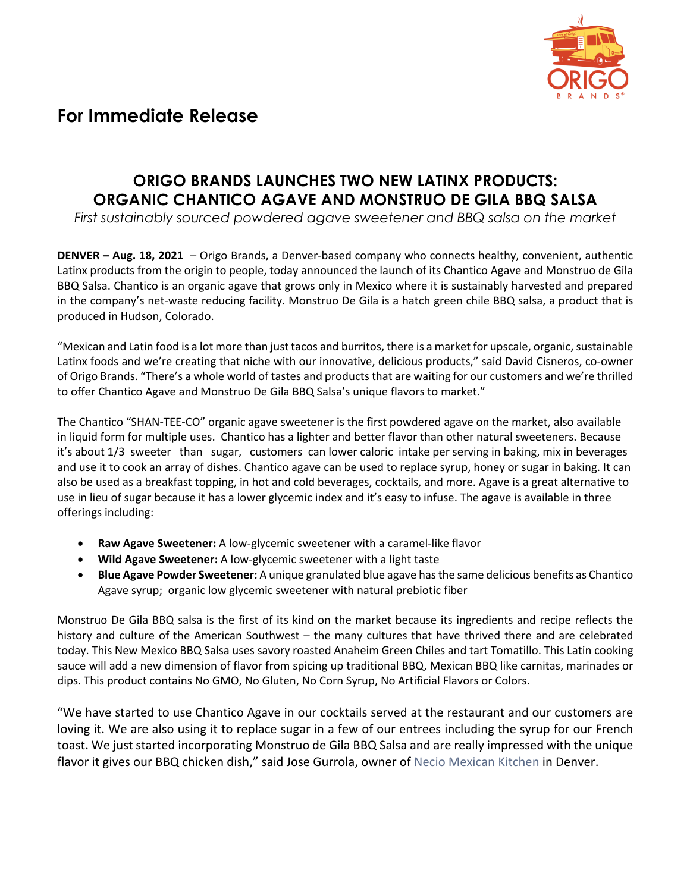

## **For Immediate Release**

## **ORIGO BRANDS LAUNCHES TWO NEW LATINX PRODUCTS: ORGANIC CHANTICO AGAVE AND MONSTRUO DE GILA BBQ SALSA**

*First sustainably sourced powdered agave sweetener and BBQ salsa on the market* 

**DENVER – Aug. 18, 2021** – Origo Brands, a Denver-based company who connects healthy, convenient, authentic Latinx products from the origin to people, today announced the launch of its Chantico Agave and Monstruo de Gila BBQ Salsa. Chantico is an organic agave that grows only in Mexico where it is sustainably harvested and prepared in the company's net-waste reducing facility. Monstruo De Gila is a hatch green chile BBQ salsa, a product that is produced in Hudson, Colorado.

"Mexican and Latin food is a lot more than just tacos and burritos, there is a market for upscale, organic, sustainable Latinx foods and we're creating that niche with our innovative, delicious products," said David Cisneros, co-owner of Origo Brands. "There's a whole world of tastes and products that are waiting for our customers and we're thrilled to offer Chantico Agave and Monstruo De Gila BBQ Salsa's unique flavors to market."

The Chantico "SHAN-TEE-CO" organic agave sweetener is the first powdered agave on the market, also available in liquid form for multiple uses. Chantico has a lighter and better flavor than other natural sweeteners. Because it's about 1/3 sweeter than sugar, customers can lower caloric intake per serving in baking, mix in beverages and use it to cook an array of dishes. Chantico agave can be used to replace syrup, honey or sugar in baking. It can also be used as a breakfast topping, in hot and cold beverages, cocktails, and more. Agave is a great alternative to use in lieu of sugar because it has a lower glycemic index and it's easy to infuse. The agave is available in three offerings including:

- **Raw Agave Sweetener:** A low-glycemic sweetener with a caramel-like flavor
- **Wild Agave Sweetener:** A low-glycemic sweetener with a light taste
- **Blue Agave Powder Sweetener:** A unique granulated blue agave has the same delicious benefits as Chantico Agave syrup; organic low glycemic sweetener with natural prebiotic fiber

Monstruo De Gila BBQ salsa is the first of its kind on the market because its ingredients and recipe reflects the history and culture of the American Southwest – the many cultures that have thrived there and are celebrated today. This New Mexico BBQ Salsa uses savory roasted Anaheim Green Chiles and tart Tomatillo. This Latin cooking sauce will add a new dimension of flavor from spicing up traditional BBQ, Mexican BBQ like carnitas, marinades or dips. This product contains No GMO, No Gluten, No Corn Syrup, No Artificial Flavors or Colors.

"We have started to use Chantico Agave in our cocktails served at the restaurant and our customers are loving it. We are also using it to replace sugar in a few of our entrees including the syrup for our French toast. We just started incorporating Monstruo de Gila BBQ Salsa and are really impressed with the unique flavor it gives our BBQ chicken dish," said Jose Gurrola, owner of Necio Mexican Kitchen in Denver.